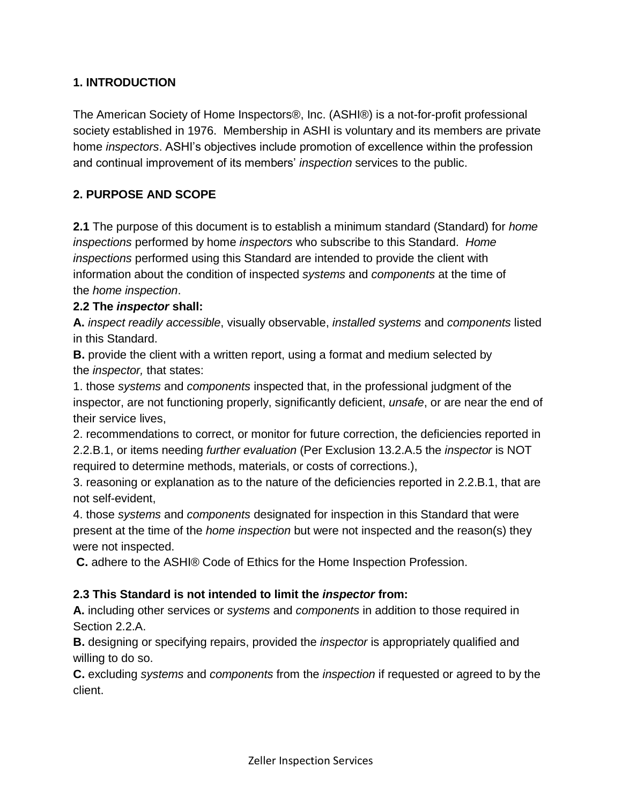#### **1. INTRODUCTION**

The American Society of Home Inspectors®, Inc. (ASHI®) is a not-for-profit professional society established in 1976. Membership in ASHI is voluntary and its members are private home *[inspectors](http://www.homeinspector.org/Glossary-of-Italicized-Terms#Inspector)*. ASHI's objectives include promotion of excellence within the profession and continual improvement of its members' *[inspection](http://www.homeinspector.org/Glossary-of-Italicized-Terms#Home-Inspection)* services to the public.

## **2. PURPOSE AND SCOPE**

**2.1** The purpose of this document is to establish a minimum standard (Standard) for *home inspections* performed by home *inspectors* who subscribe to this Standard. *Home inspections* performed using this Standard are intended to provide the client with information about the condition of inspected *systems* and *components* at the time of the *home inspection*.

#### **2.2 The** *inspector* **shall:**

**A.** *inspect readily accessible*, visually observable, *installed systems* and *components* listed in this Standard.

**B.** provide the client with a written report, using a format and medium selected by the *inspector,* that states:

1. those *systems* and *components* inspected that, in the professional judgment of the inspector, are not functioning properly, significantly deficient, *unsafe*, or are near the end of their service lives,

2. recommendations to correct, or monitor for future correction, the deficiencies reported in 2.2.B.1, or items needing *further evaluation* (Per Exclusion 13.2.A.5 the *inspector* is NOT required to determine methods, materials, or costs of corrections.),

3. reasoning or explanation as to the nature of the deficiencies reported in 2.2.B.1, that are not self-evident,

4. those *systems* and *components* designated for inspection in this Standard that were present at the time of the *home inspection* but were not inspected and the reason(s) they were not inspected.

**C.** adhere to the ASHI® Code of Ethics for the Home Inspection Profession.

#### **2.3 This Standard is not intended to limit the** *inspector* **from:**

**A.** including other services or *systems* and *components* in addition to those required in Section 2.2.A.

**B.** designing or specifying repairs, provided the *inspector* is appropriately qualified and willing to do so.

**C.** excluding *systems* and *components* from the *inspection* if requested or agreed to by the client.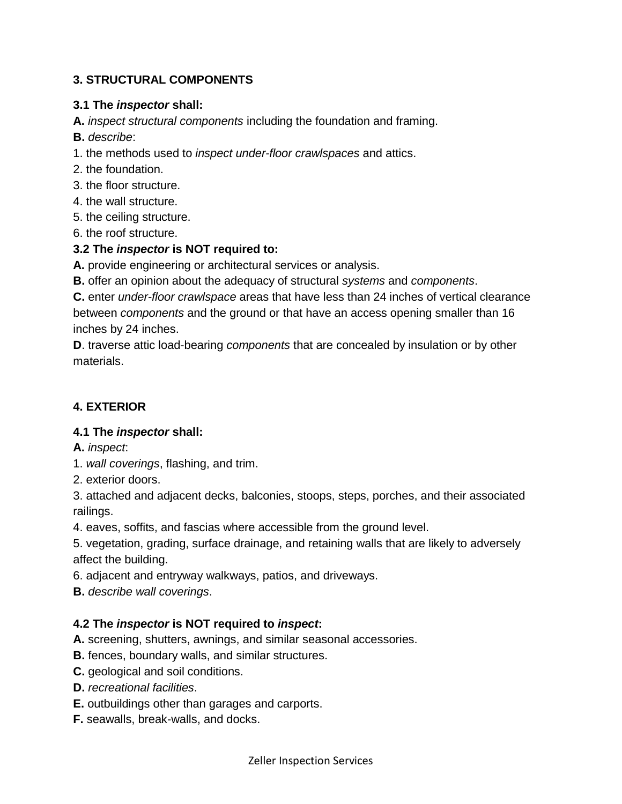# **3. STRUCTURAL COMPONENTS**

#### **3.1 The** *inspector* **shall:**

**A.** *inspect structural components* including the foundation and framing.

- **B.** *describe*:
- 1. the methods used to *inspect under-floor crawlspaces* and attics.
- 2. the foundation.
- 3. the floor structure.
- 4. the wall structure.
- 5. the ceiling structure.
- 6. the roof structure.

## **3.2 The** *inspector* **is NOT required to:**

**A.** provide engineering or architectural services or analysis.

**B.** offer an opinion about the adequacy of structural *systems* and *components*.

**C.** enter *under-floor crawlspace* areas that have less than 24 inches of vertical clearance between *components* and the ground or that have an access opening smaller than 16 inches by 24 inches.

**D**. traverse attic load-bearing *components* that are concealed by insulation or by other materials.

# **4. EXTERIOR**

## **4.1 The** *inspector* **shall:**

- **A.** *inspect*:
- 1. *wall coverings*, flashing, and trim.
- 2. exterior doors.

3. attached and adjacent decks, balconies, stoops, steps, porches, and their associated railings.

4. eaves, soffits, and fascias where accessible from the ground level.

5. vegetation, grading, surface drainage, and retaining walls that are likely to adversely affect the building.

- 6. adjacent and entryway walkways, patios, and driveways.
- **B.** *describe wall coverings*.

#### **4.2 The** *inspector* **is NOT required to** *inspect***:**

- **A.** screening, shutters, awnings, and similar seasonal accessories.
- **B.** fences, boundary walls, and similar structures.
- **C.** geological and soil conditions.
- **D.** *recreational facilities*.
- **E.** outbuildings other than garages and carports.
- **F.** seawalls, break-walls, and docks.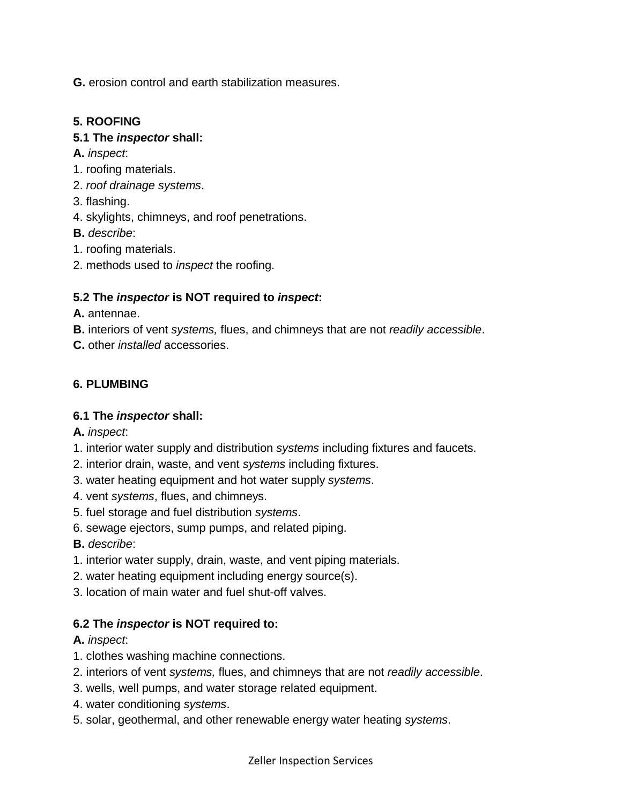**G.** erosion control and earth stabilization measures.

## **5. ROOFING**

## **5.1 The** *inspector* **shall:**

- **A.** *inspect*:
- 1. roofing materials.
- 2. *roof drainage systems*.
- 3. flashing.
- 4. skylights, chimneys, and roof penetrations.
- **B.** *describe*:
- 1. roofing materials.
- 2. methods used to *inspect* the roofing.

# **5.2 The** *inspector* **is NOT required to** *inspect***:**

- **A.** antennae.
- **B.** interiors of vent *systems,* flues, and chimneys that are not *readily accessible*.
- **C.** other *installed* accessories.

# **6. PLUMBING**

# **6.1 The** *inspector* **shall:**

**A.** *inspect*:

- 1. interior water supply and distribution *systems* including fixtures and faucets.
- 2. interior drain, waste, and vent *systems* including fixtures.
- 3. water heating equipment and hot water supply *systems*.
- 4. vent *systems*, flues, and chimneys.
- 5. fuel storage and fuel distribution *systems*.
- 6. sewage ejectors, sump pumps, and related piping.
- **B.** *describe*:
- 1. interior water supply, drain, waste, and vent piping materials.
- 2. water heating equipment including energy source(s).
- 3. location of main water and fuel shut-off valves.

# **6.2 The** *inspector* **is NOT required to:**

## **A.** *inspect*:

- 1. clothes washing machine connections.
- 2. interiors of vent *systems,* flues, and chimneys that are not *readily accessible*.
- 3. wells, well pumps, and water storage related equipment.
- 4. water conditioning *systems*.
- 5. solar, geothermal, and other renewable energy water heating *systems*.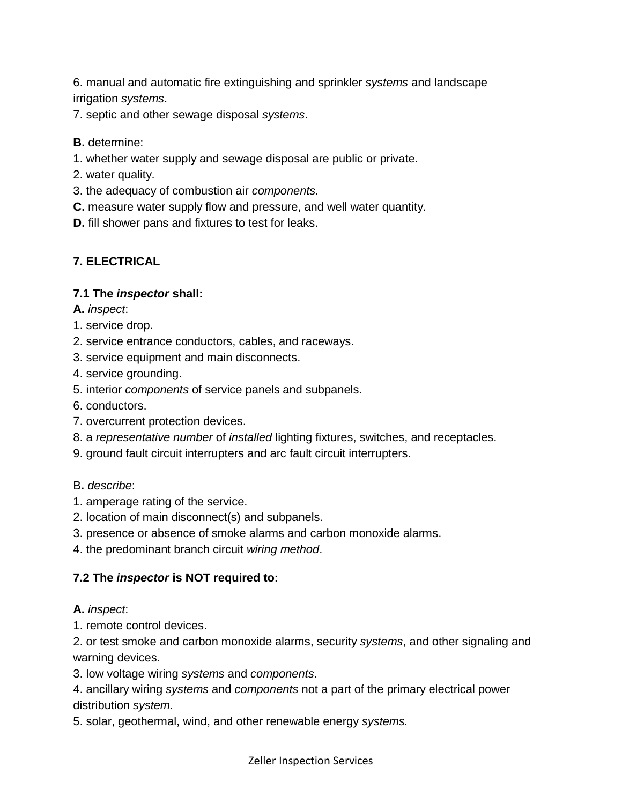6. manual and automatic fire extinguishing and sprinkler *systems* and landscape irrigation *systems*.

7. septic and other sewage disposal *systems*.

**B.** determine:

1. whether water supply and sewage disposal are public or private.

- 2. water quality.
- 3. the adequacy of combustion air *components.*
- **C.** measure water supply flow and pressure, and well water quantity.
- **D.** fill shower pans and fixtures to test for leaks.

#### **7. ELECTRICAL**

#### **7.1 The** *inspector* **shall:**

- **A.** *inspect*:
- 1. service drop.
- 2. service entrance conductors, cables, and raceways.
- 3. service equipment and main disconnects.
- 4. service grounding.
- 5. interior *components* of service panels and subpanels.
- 6. conductors.
- 7. overcurrent protection devices.
- 8. a *representative number* of *installed* lighting fixtures, switches, and receptacles.
- 9. ground fault circuit interrupters and arc fault circuit interrupters.

#### B**.** *describe*:

- 1. amperage rating of the service.
- 2. location of main disconnect(s) and subpanels.
- 3. presence or absence of smoke alarms and carbon monoxide alarms.
- 4. the predominant branch circuit *wiring method*.

#### **7.2 The** *inspector* **is NOT required to:**

#### **A.** *inspect*:

1. remote control devices.

2. or test smoke and carbon monoxide alarms, security *systems*, and other signaling and warning devices.

3. low voltage wiring *systems* and *components*.

4. ancillary wiring *systems* and *components* not a part of the primary electrical power distribution *system*.

5. solar, geothermal, wind, and other renewable energy *systems.*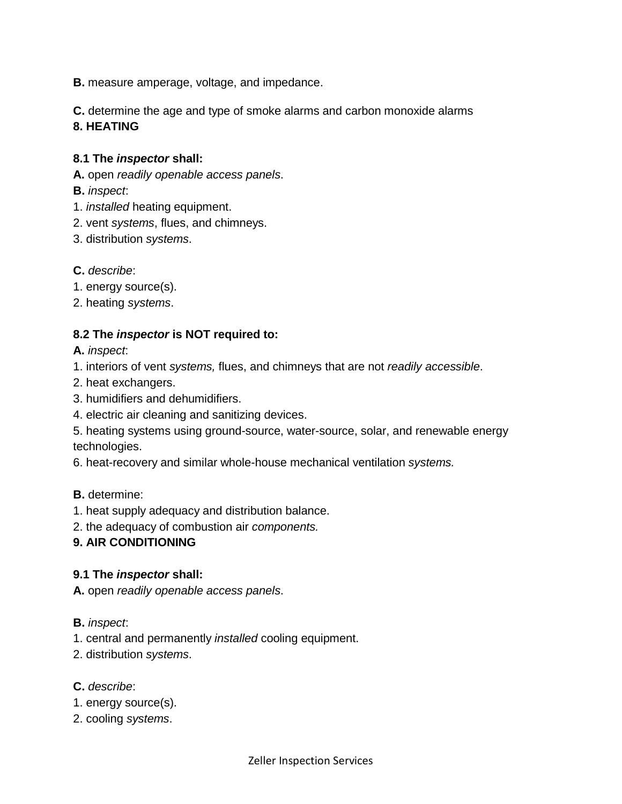**B.** measure amperage, voltage, and impedance.

**C.** determine the age and type of smoke alarms and carbon monoxide alarms **8. HEATING**

#### **8.1 The** *inspector* **shall:**

**A.** open *readily openable access panels*.

**B.** *inspect*:

- 1. *installed* heating equipment.
- 2. vent *systems*, flues, and chimneys.
- 3. distribution *systems*.
- **C.** *describe*:
- 1. energy source(s).
- 2. heating *systems*.

#### **8.2 The** *inspector* **is NOT required to:**

**A.** *inspect*:

- 1. interiors of vent *systems,* flues, and chimneys that are not *readily accessible*.
- 2. heat exchangers.
- 3. humidifiers and dehumidifiers.
- 4. electric air cleaning and sanitizing devices.
- 5. heating systems using ground-source, water-source, solar, and renewable energy technologies.
- 6. heat-recovery and similar whole-house mechanical ventilation *systems.*

#### **B.** determine:

- 1. heat supply adequacy and distribution balance.
- 2. the adequacy of combustion air *components.*

#### **9. AIR CONDITIONING**

#### **9.1 The** *inspector* **shall:**

**A.** open *readily openable access panels*.

#### **B.** *inspect*:

- 1. central and permanently *installed* cooling equipment.
- 2. distribution *systems*.

#### **C.** *describe*:

- 1. energy source(s).
- 2. cooling *systems*.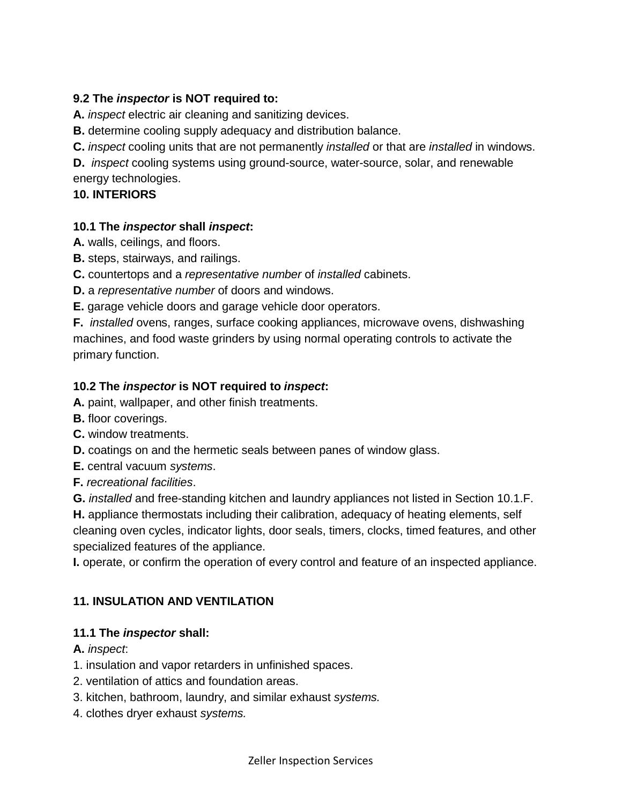## **9.2 The** *inspector* **is NOT required to:**

**A.** *inspect* electric air cleaning and sanitizing devices.

**B.** determine cooling supply adequacy and distribution balance.

**C.** *inspect* cooling units that are not permanently *installed* or that are *installed* in windows.

**D.** *inspect* cooling systems using ground-source, water-source, solar, and renewable energy technologies.

## **10. INTERIORS**

## **10.1 The** *inspector* **shall** *inspect***:**

**A.** walls, ceilings, and floors.

**B.** steps, stairways, and railings.

**C.** countertops and a *representative number* of *installed* cabinets.

**D.** a *representative number* of doors and windows.

**E.** garage vehicle doors and garage vehicle door operators.

**F.** *installed* ovens, ranges, surface cooking appliances, microwave ovens, dishwashing machines, and food waste grinders by using normal operating controls to activate the primary function.

# **10.2 The** *inspector* **is NOT required to** *inspect***:**

**A.** paint, wallpaper, and other finish treatments.

- **B.** floor coverings.
- **C.** window treatments.
- **D.** coatings on and the hermetic seals between panes of window glass.
- **E.** central vacuum *systems*.
- **F.** *recreational facilities*.

**G.** *installed* and free-standing kitchen and laundry appliances not listed in Section 10.1.F.

**H.** appliance thermostats including their calibration, adequacy of heating elements, self cleaning oven cycles, indicator lights, door seals, timers, clocks, timed features, and other specialized features of the appliance.

**I.** operate, or confirm the operation of every control and feature of an inspected appliance.

# **11. INSULATION AND VENTILATION**

# **11.1 The** *inspector* **shall:**

**A.** *inspect*:

- 1. insulation and vapor retarders in unfinished spaces.
- 2. ventilation of attics and foundation areas.
- 3. kitchen, bathroom, laundry, and similar exhaust *systems.*
- 4. clothes dryer exhaust *systems.*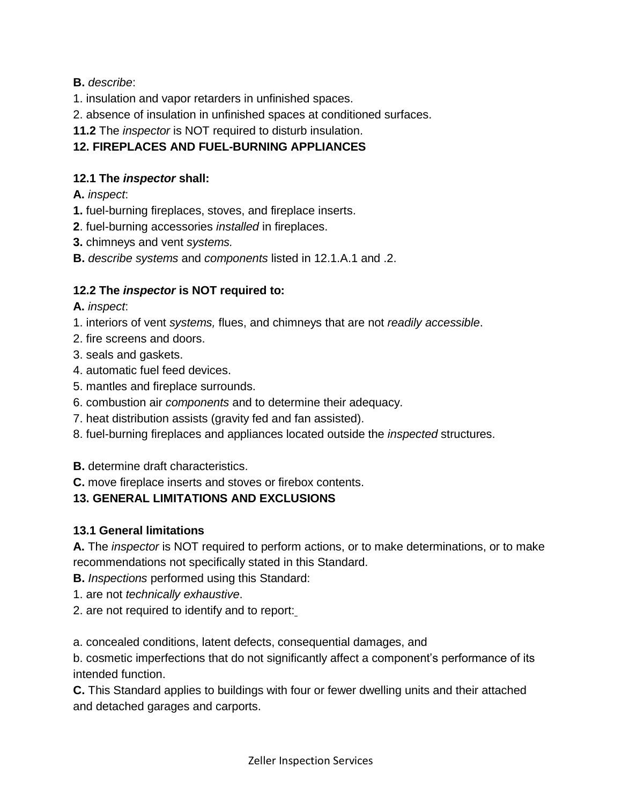## **B.** *describe*:

- 1. insulation and vapor retarders in unfinished spaces.
- 2. absence of insulation in unfinished spaces at conditioned surfaces.

# **11.2** The *inspector* is NOT required to disturb insulation.

# **12. FIREPLACES AND FUEL-BURNING APPLIANCES**

## **12.1 The** *inspector* **shall:**

# **A.** *inspect*:

- **1.** fuel-burning fireplaces, stoves, and fireplace inserts.
- **2**. fuel-burning accessories *installed* in fireplaces.
- **3.** chimneys and vent *systems.*
- **B.** *describe systems* and *components* listed in 12.1.A.1 and .2.

# **12.2 The** *inspector* **is NOT required to:**

## **A.** *inspect*:

- 1. interiors of vent *systems,* flues, and chimneys that are not *readily accessible*.
- 2. fire screens and doors.
- 3. seals and gaskets.
- 4. automatic fuel feed devices.
- 5. mantles and fireplace surrounds.
- 6. combustion air *components* and to determine their adequacy.
- 7. heat distribution assists (gravity fed and fan assisted).
- 8. fuel-burning fireplaces and appliances located outside the *inspected* structures.

**B.** determine draft characteristics.

**C.** move fireplace inserts and stoves or firebox contents.

# **13. GENERAL LIMITATIONS AND EXCLUSIONS**

# **13.1 General limitations**

**A.** The *inspector* is NOT required to perform actions, or to make determinations, or to make recommendations not specifically stated in this Standard.

- **B.** *Inspections* performed using this Standard:
- 1. are not *technically exhaustive*.
- 2. are not required to identify and to report:

a. concealed conditions, latent defects, consequential damages, and

b. cosmetic imperfections that do not significantly affect a component's performance of its intended function.

**C.** This Standard applies to buildings with four or fewer dwelling units and their attached and detached garages and carports.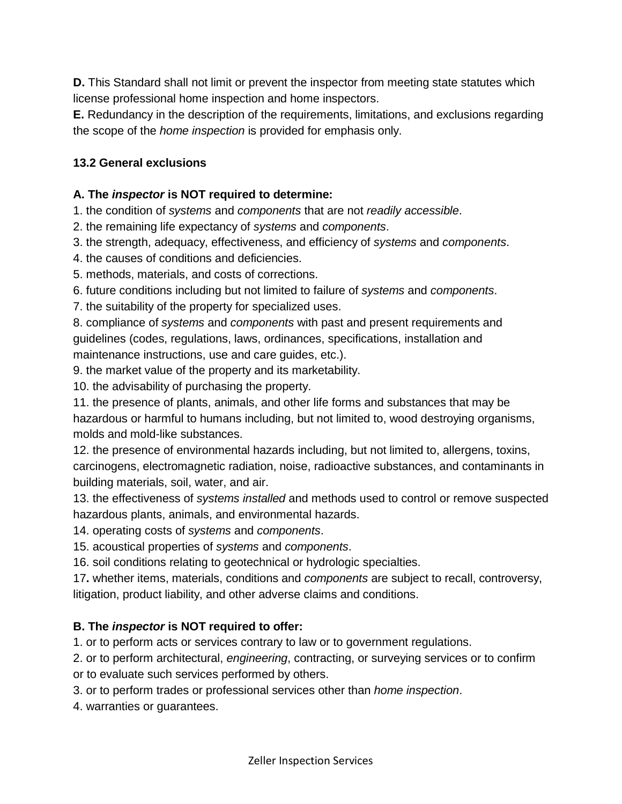**D.** This Standard shall not limit or prevent the inspector from meeting state statutes which license professional home inspection and home inspectors.

**E.** Redundancy in the description of the requirements, limitations, and exclusions regarding the scope of the *home inspection* is provided for emphasis only.

#### **13.2 General exclusions**

#### **A. The** *inspector* **is NOT required to determine:**

1. the condition of *systems* and *components* that are not *readily accessible*.

2. the remaining life expectancy of *systems* and *components*.

- 3. the strength, adequacy, effectiveness, and efficiency of *systems* and *components*.
- 4. the causes of conditions and deficiencies.
- 5. methods, materials, and costs of corrections.
- 6. future conditions including but not limited to failure of *systems* and *components*.

7. the suitability of the property for specialized uses.

8. compliance of *systems* and *components* with past and present requirements and guidelines (codes, regulations, laws, ordinances, specifications, installation and maintenance instructions, use and care guides, etc.).

9. the market value of the property and its marketability.

10. the advisability of purchasing the property.

11. the presence of plants, animals, and other life forms and substances that may be hazardous or harmful to humans including, but not limited to, wood destroying organisms, molds and mold-like substances.

12. the presence of environmental hazards including, but not limited to, allergens, toxins, carcinogens, electromagnetic radiation, noise, radioactive substances, and contaminants in building materials, soil, water, and air.

13. the effectiveness of *systems installed* and methods used to control or remove suspected hazardous plants, animals, and environmental hazards.

14. operating costs of *systems* and *components*.

15. acoustical properties of *systems* and *components*.

16. soil conditions relating to geotechnical or hydrologic specialties.

17**.** whether items, materials, conditions and *components* are subject to recall, controversy, litigation, product liability, and other adverse claims and conditions.

## **B. The** *inspector* **is NOT required to offer:**

1. or to perform acts or services contrary to law or to government regulations.

2. or to perform architectural, *engineering*, contracting, or surveying services or to confirm or to evaluate such services performed by others.

3. or to perform trades or professional services other than *home inspection*.

4. warranties or guarantees.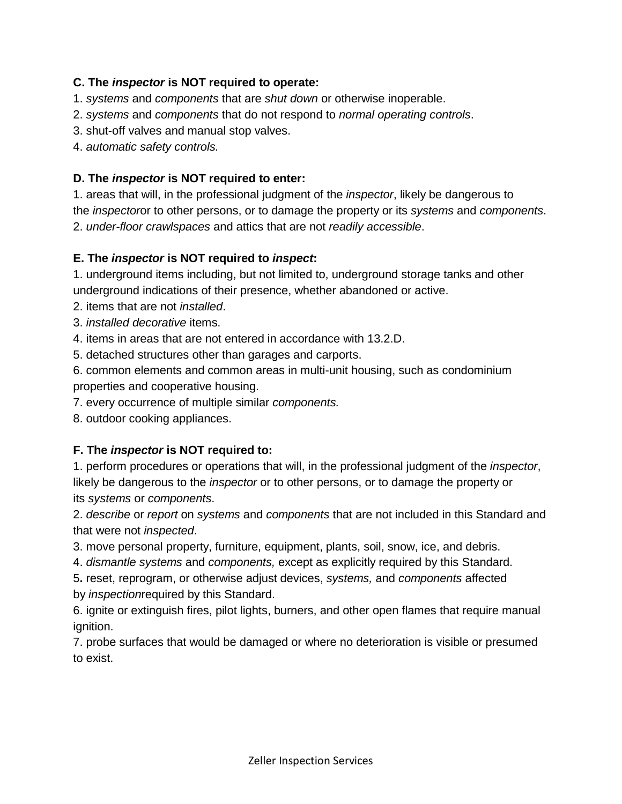#### **C. The** *inspector* **is NOT required to operate:**

- 1. *systems* and *components* that are *shut down* or otherwise inoperable.
- 2. *systems* and *components* that do not respond to *normal operating controls*.
- 3. shut-off valves and manual stop valves.
- 4. *automatic safety controls.*

#### **D. The** *inspector* **is NOT required to enter:**

1. areas that will, in the professional judgment of the *inspector*, likely be dangerous to the *inspector*or to other persons, or to damage the property or its *systems* and *components*. 2. *under-floor crawlspaces* and attics that are not *readily accessible*.

#### **E. The** *inspector* **is NOT required to** *inspect***:**

1. underground items including, but not limited to, underground storage tanks and other underground indications of their presence, whether abandoned or active.

2. items that are not *installed*.

3. *installed decorative* items.

4. items in areas that are not entered in accordance with 13.2.D.

5. detached structures other than garages and carports.

6. common elements and common areas in multi-unit housing, such as condominium properties and cooperative housing.

7. every occurrence of multiple similar *components.*

8. outdoor cooking appliances.

## **F. The** *inspector* **is NOT required to:**

1. perform procedures or operations that will, in the professional judgment of the *inspector*, likely be dangerous to the *inspector* or to other persons, or to damage the property or its *systems* or *components*.

2. *describe* or *report* on *systems* and *components* that are not included in this Standard and that were not *inspected*.

3. move personal property, furniture, equipment, plants, soil, snow, ice, and debris.

4. *dismantle systems* and *components,* except as explicitly required by this Standard.

5**.** reset, reprogram, or otherwise adjust devices, *systems,* and *components* affected by *inspection*required by this Standard.

6. ignite or extinguish fires, pilot lights, burners, and other open flames that require manual ignition.

7. probe surfaces that would be damaged or where no deterioration is visible or presumed to exist.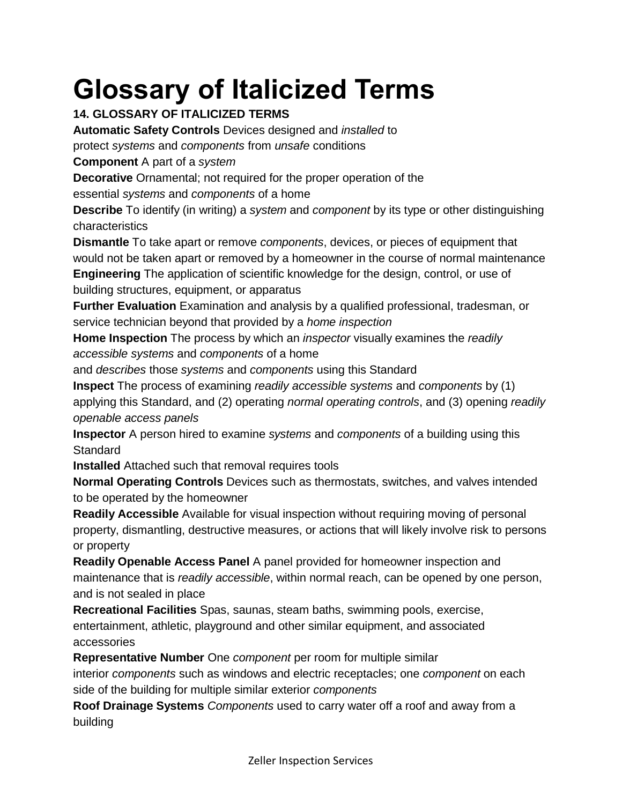# **Glossary of Italicized Terms**

# **14. GLOSSARY OF ITALICIZED TERMS**

**Automatic Safety Controls** Devices designed and *installed* to

protect *systems* and *components* from *unsafe* conditions

**Component** A part of a *system*

**Decorative** Ornamental; not required for the proper operation of the essential *systems* and *components* of a home

**Describe** To identify (in writing) a *system* and *component* by its type or other distinguishing characteristics

**Dismantle** To take apart or remove *components*, devices, or pieces of equipment that would not be taken apart or removed by a homeowner in the course of normal maintenance **Engineering** The application of scientific knowledge for the design, control, or use of

building structures, equipment, or apparatus

**Further Evaluation** Examination and analysis by a qualified professional, tradesman, or service technician beyond that provided by a *home inspection*

**Home Inspection** The process by which an *inspector* visually examines the *readily accessible systems* and *components* of a home

and *describes* those *systems* and *components* using this Standard

**Inspect** The process of examining *readily accessible systems* and *components* by (1) applying this Standard, and (2) operating *normal operating controls*, and (3) opening *readily openable access panels*

**Inspector** A person hired to examine *systems* and *components* of a building using this **Standard** 

**Installed** Attached such that removal requires tools

**Normal Operating Controls** Devices such as thermostats, switches, and valves intended to be operated by the homeowner

**Readily Accessible** Available for visual inspection without requiring moving of personal property, dismantling, destructive measures, or actions that will likely involve risk to persons or property

**Readily Openable Access Panel** A panel provided for homeowner inspection and maintenance that is *readily accessible*, within normal reach, can be opened by one person, and is not sealed in place

**Recreational Facilities** Spas, saunas, steam baths, swimming pools, exercise, entertainment, athletic, playground and other similar equipment, and associated accessories

**Representative Number** One *component* per room for multiple similar

interior *components* such as windows and electric receptacles; one *component* on each side of the building for multiple similar exterior *components*

**Roof Drainage Systems** *Components* used to carry water off a roof and away from a building